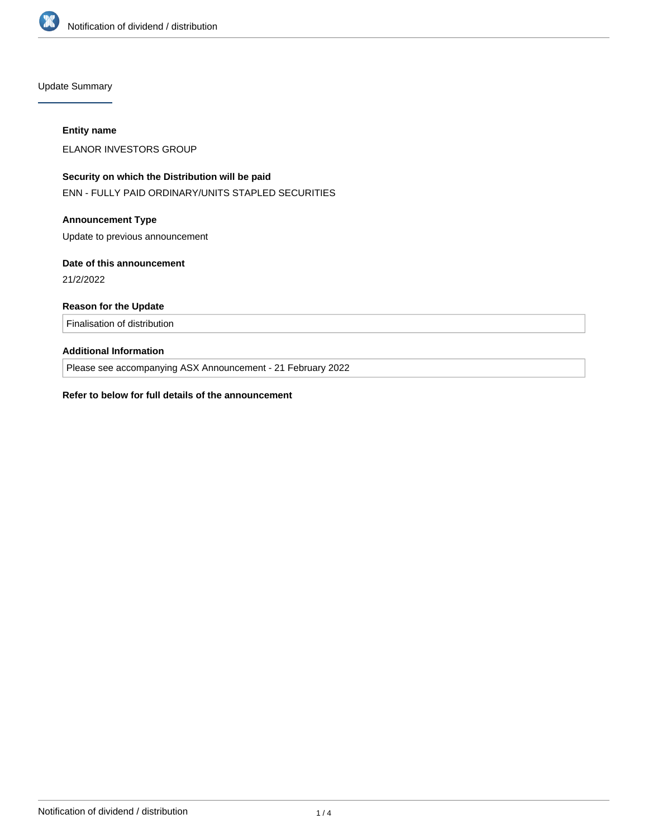

Update Summary

#### **Entity name**

ELANOR INVESTORS GROUP

# **Security on which the Distribution will be paid**

ENN - FULLY PAID ORDINARY/UNITS STAPLED SECURITIES

## **Announcement Type**

Update to previous announcement

### **Date of this announcement**

21/2/2022

## **Reason for the Update**

Finalisation of distribution

# **Additional Information**

Please see accompanying ASX Announcement - 21 February 2022

#### **Refer to below for full details of the announcement**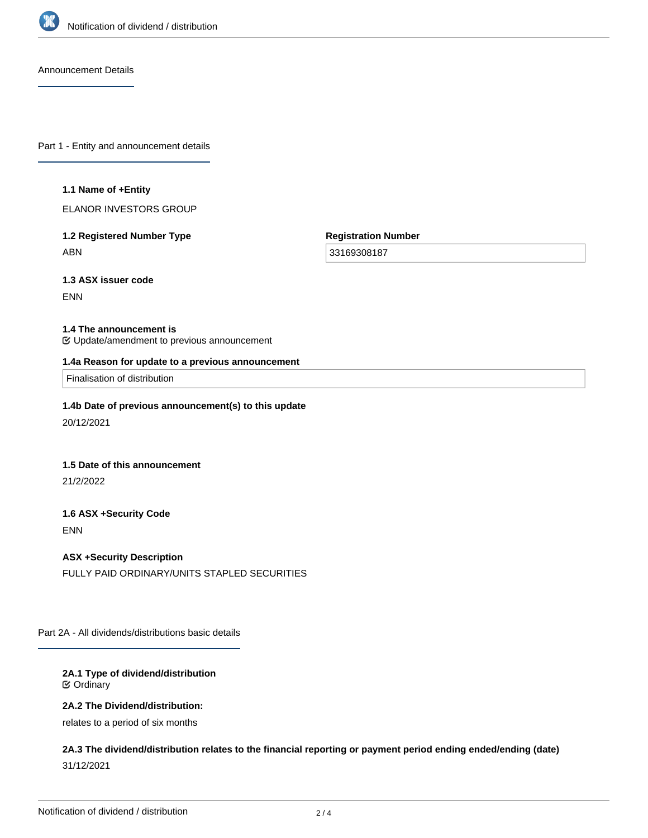

Announcement Details

Part 1 - Entity and announcement details

#### **1.1 Name of +Entity**

ELANOR INVESTORS GROUP

## **1.2 Registered Number Type** ABN

**Registration Number**

33169308187

**1.3 ASX issuer code**

ENN

#### **1.4 The announcement is**

Update/amendment to previous announcement

#### **1.4a Reason for update to a previous announcement**

Finalisation of distribution

#### **1.4b Date of previous announcement(s) to this update**

20/12/2021

#### **1.5 Date of this announcement**

21/2/2022

# **1.6 ASX +Security Code**

ENN

## **ASX +Security Description**

FULLY PAID ORDINARY/UNITS STAPLED SECURITIES

Part 2A - All dividends/distributions basic details

#### **2A.1 Type of dividend/distribution** Ordinary

#### **2A.2 The Dividend/distribution:**

relates to a period of six months

**2A.3 The dividend/distribution relates to the financial reporting or payment period ending ended/ending (date)** 31/12/2021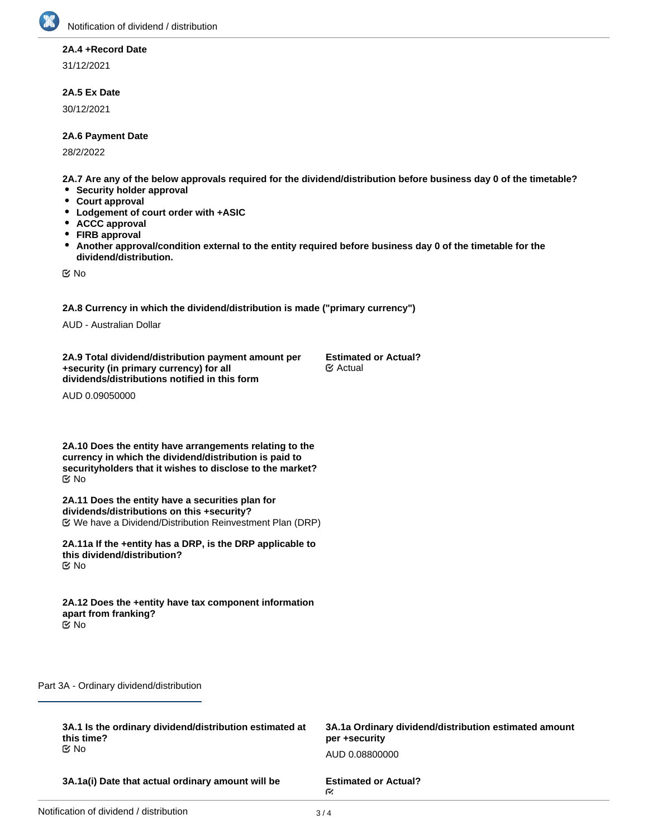

# **2A.4 +Record Date**

31/12/2021

## **2A.5 Ex Date**

30/12/2021

#### **2A.6 Payment Date**

28/2/2022

**2A.7 Are any of the below approvals required for the dividend/distribution before business day 0 of the timetable?**

- **Security holder approval**
- **Court approval**
- $\bullet$ **Lodgement of court order with +ASIC**
- **ACCC approval**  $\bullet$
- **FIRB approval**
- **Another approval/condition external to the entity required before business day 0 of the timetable for the**  $\bullet$ **dividend/distribution.**

No

**2A.8 Currency in which the dividend/distribution is made ("primary currency")**

AUD - Australian Dollar

**2A.9 Total dividend/distribution payment amount per +security (in primary currency) for all dividends/distributions notified in this form**

**Estimated or Actual?** Actual

AUD 0.09050000

**2A.10 Does the entity have arrangements relating to the currency in which the dividend/distribution is paid to securityholders that it wishes to disclose to the market?** No

**2A.11 Does the entity have a securities plan for dividends/distributions on this +security?** We have a Dividend/Distribution Reinvestment Plan (DRP)

**2A.11a If the +entity has a DRP, is the DRP applicable to this dividend/distribution?** No

**2A.12 Does the +entity have tax component information apart from franking?** No

Part 3A - Ordinary dividend/distribution

| 3A.1 Is the ordinary dividend/distribution estimated at | 3A.1a Ordinary dividend/distribution estimated amount |
|---------------------------------------------------------|-------------------------------------------------------|
| this time?                                              | per +security                                         |
| tiX No                                                  | AUD 0.08800000                                        |
| 3A.1a(i) Date that actual ordinary amount will be       | <b>Estimated or Actual?</b><br>M.                     |